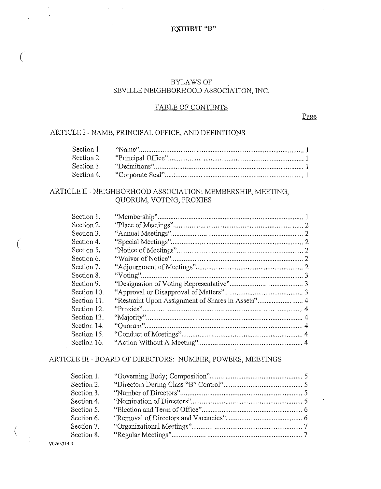# BYLAWS OF SEVILLE NEIGHBORHOOD ASSOCIATION, INC.

## TABLE OF CONTENTS

Page

## ARTICLE I -NAME, PRINCIPAL OFFICE, AND DEFINITIONS

 $\bar{z}$ 

| Section 1. |  |
|------------|--|
| Section 2. |  |
| Section 3. |  |
|            |  |

# ARTICLE II- NEIGHBORHOOD ASSOCIATION: MEMBERSHIP, MEETING, QUORUM, VOTING, PROXIES

| Section 1.  |                                                   |  |
|-------------|---------------------------------------------------|--|
| Section 2.  |                                                   |  |
| Section 3.  |                                                   |  |
| Section 4.  |                                                   |  |
| Section 5.  |                                                   |  |
| Section 6.  |                                                   |  |
| Section 7.  |                                                   |  |
| Section 8.  |                                                   |  |
| Section 9.  |                                                   |  |
| Section 10. |                                                   |  |
| Section 11. | "Restraint Upon Assignment of Shares in Assets" 4 |  |
| Section 12. |                                                   |  |
| Section 13. |                                                   |  |
| Section 14. |                                                   |  |
| Section 15. |                                                   |  |
| Section 16. |                                                   |  |

# ARTICLE III- BOARD OF DIRECTORS: NUMBER, POWERS, MEETINGS

| Section 1. |  |
|------------|--|
| Section 2. |  |
| Section 3. |  |
| Section 4. |  |
| Section 5. |  |
| Section 6. |  |
| Section 7. |  |
| Section 8. |  |

V0263314.3

(

(

 $\left($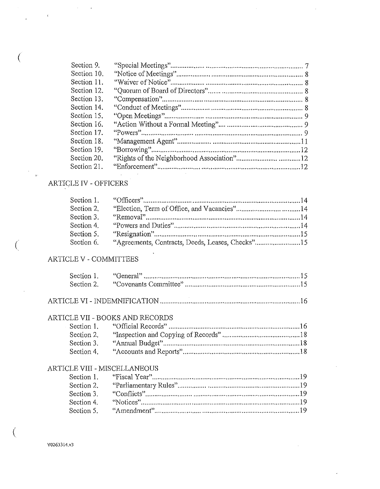| Section 9.  |  |
|-------------|--|
| Section 10. |  |
| Section 11. |  |
| Section 12. |  |
| Section 13. |  |
| Section 14. |  |
| Section 15. |  |
| Section 16. |  |
| Section 17. |  |
| Section 18. |  |
| Section 19. |  |
| Section 20. |  |
| Section 21. |  |

# ARTICLE IV - OFFICERS

 $\sim$ 

| Section 2. |                                                             |  |
|------------|-------------------------------------------------------------|--|
| Section 3. |                                                             |  |
| Section 4. |                                                             |  |
| Section 5. |                                                             |  |
|            | Section 6. "Agreements, Contracts, Deeds, Leases, Checks"15 |  |

# ARTICLE V - COMMITTEES

| Section 1. | "General" |  |
|------------|-----------|--|
|            |           |  |

# 

## ARTICLE VII - BOOKS AND RECORDS

| Section 2. |  |
|------------|--|
| Section 3. |  |
| Section 4. |  |

## ARTICLE VIII - MISCELLANEOUS

 $\sim$   $\sim$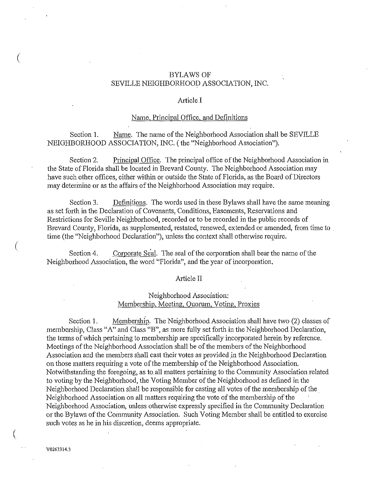### BYLAWS OF SEVILLE NEIGHBORHOOD ASSOCIATION, INC.

### Article I

### Name, Principal Office, and Definitions

Section 1. Name. The name of the Neighborhood Association shall be SEVILLE NEIGHBORHOOD ASSOCIATION, INC. (the "Neighborhood Association").

Section 2. Principal Office. The principal office of the Neighborhood Association in the State of Florida shall be located in Brevard County. The Neighborhood Association may have such other offices, either within or outside the State of Florida, as the Board of Directors may determine or as the affairs of the Neighborhood Association may require.

Section 3. Definitions. The words used in these Bylaws shall have the same meaning as set forth in the Declaration of Covenants, Conditions, Easements, Reservations and Restrictions for Seville Neighborhood, recorded or to be recorded in the public records of Brevard County, Florida, as supplemented, restated, renewed, extended or amended, from time to . time (the "Neighborhood Declaration"), unless the context shall otherwise require.

Section 4. Corporate Seal. The seal of the corporation shall bear the name of the Neighborhood Association, the word "Florida", and the year of incorporation.

#### Article II

## Neighborhood Association: Membership, Meeting, Quorum, Voting, Proxies

Section 1. Membership. The Neighborhood Association shall have two (2) classes of membership, Class "A" and Class "B", as more fully set forth in the Neighborhood Declaration, the terms of which pertaining to membership are specifically incorporated herein by reference. Meetings of the Neighborhood Association shall be of the members of the Neighborhood Association and the members shall cast their votes as provided in the Neighborhood Declaration on those matters requiring a vote of the membership of the Neighborhood Association. Notwithstanding the foregoing, as to. all matters pertaining to the Community Association related to voting by the Neighborhood, the Voting Member of the Neighborhood as defmed in the Neighborhood Declaration shall be responsible for casting all votes of the membership of the. Neighborhood Association on all matters requiring the vote of the membership of the Neighborhood Association, unless otherwise expressly specified in the Community Declaration or the Bylaws of the Community Association. Such Voting Member shall be entitled to exercise such votes as he in his discretion, deems appropriate.

V0263314.3

(

(

(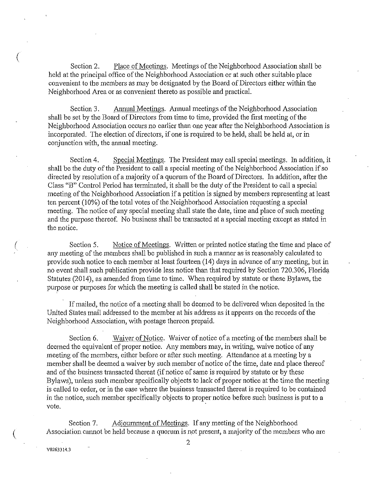Section 2. Place of Meetings. Meetings of the Neighborhood Association shall be held at the principal office of the Neighborhood Association or at such other suitable place convenient to the members as may be designated by the Board of Directors either within the Neighborhood Area or as convenient thereto as possible and practical.

Section 3. Annual Meetings. Annual meetings of the Neighborhood Association shall be set by the Board of Directors from time to time, provided the first meeting of the Neighborhood Association occurs no earlier than one year after the Neighborhood Association is incorporated. The election of directors, if one is required to be held, shall be held at, or in conjunction with, the annual meeting.

Section 4. Special Meetings. The President may call special meetings. In addition, it shall be the duty of the President to call a special meeting of the Neighborhood Association if so directed by resolution of a majority of a quorum of the Board of Directors. In addition, after the Class "B" Control Period has terminated, it shall be the duty of the President to call a special meeting of the Neighborhood Association if a petition is signed by members representing at least ten percent (10%) of the total votes of the .Neighborhood Association requesting a special meeting. The notice of any special meeting shall state the date, time and place of such meeting and the purpose thereof. No business shall be transacted at a special meeting except as stated in the notice.

Section 5. Notice of Meetings. Written or printed notice stating the time and place of any meeting of the members shall be published in such a manner as is reasonably calculated to provide such notice to each member at least fourteen (14) days in advance of any meeting, but in no event shall such publication provide less notice than that required by Section 720.306, Florida Statutes (2014), as amended from time to time. When required by statute or these Bylaws, the purpose or purposes for which the meeting is called shall be stated in the notice.

If mailed, the notice of a meeting shall be deemed to be delivered when deposited in the United States mail addressed to the member at his address as it appears on the records of the Neighborhood Association, with postage thereon prepaid.

Section 6. Waiver of Notice. Waiver of notice of a meeting of the members shall be deemed the equivalent of proper notice. Any members may, in writing, waive notice of any meeting of the members, either before or after such meeting. Attendance at a meeting by a member shall be deemed a waiver by such member of notice of the time, date and place thereof and of the business transacted thereat (if notice of same is required by statute or by these Bylaws), unless such member specifically objects to lack of proper notice at the time the meeting is called to order, or in the case where the business transacted thereat is required to be contained in the notice, such member specifically objects to proper notice before such business is put to a  $\blacksquare$ vote.  $\blacksquare$ 

Section 7. Adjournment of Meetings. If any meeting of the Neighborhood Association cannot be held because a quorum is not present, a majority of the members who are

V0263314.3

(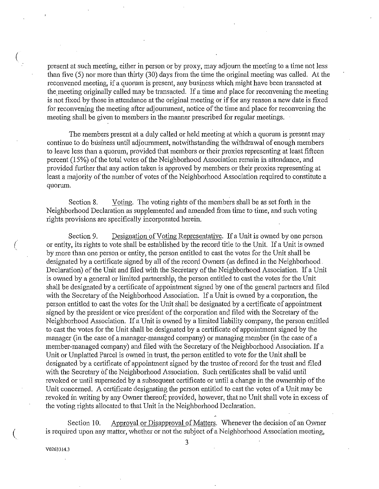present at such meeting, either in person or by proxy, may adjourn the meeting to a time not less than five (5) nor more than thirty (30) days from the time the original meeting was called. At the reconvened meeting, if a quorum is present, any business which might have been transacted at the meeting originally called may be transacted. If a time and place for reconvening the meeting is not fixed by those in attendance at the original meeting or if for any reason a new date is fixed for reconvening the meeting after adjournment, notice of the time and place for reconvening the meeting shall be given to members in the manner prescribed for regular meetings.

The members present at a duly called or held meeting at which a quorum is present may continue to do business until adjournment, notwithstanding the withdrawal of enough members to leave less than a quorum, provided that menibers or their proxies representing at least fifteen percent (15%) of the total votes of the Neighborhood Association remain in attendance, and provided further that any action taken is approved by members or their proxies representing at least a majority of the number of votes of the Neighborhood Association required to constitute a quorum.

Section 8. Voting. The voting rights of the members shall be as set forth in the Neighborhood Declaration as supplemented and amended from time to time, and such voting rights provisions are specifically incorporated herein.

Section 9. Designation of Voting Representative. If a Unit is owned by one person or entity, its rights to vote shall be established by the record title to the Unit. If a Unit is owned by more than one person or entity, the person entitled to cast the votes for the Unit shall be designated by a certificate signed by all of the record Owners (as defined in the Neighborhood. Declaration) of the Unit and filed with the Secretary of the Neighborhood Association. If a Unit is owned by a general or limited partnership, the person entitled to cast the votes for the Unit shall be designated by a certificate of appointment signed by one of the general partners and filed with the Secretary of the Neighborhood Association. If a Unit is owned by a corporation, the person entitled to cast the votes for the Unit shall be designated by a certificate of appointment signed by the president or vice president of the corporation and filed with the Secretary of the Neighborhood Association. If a Unit is owned by a limited liability company, the person entitled to cast the votes for the Unit shall be designated by a certificate of appointment signed by the manager (in the case of a manager-managed company) or managing member (in the case of a member-managed company) and filed with the Secretary of the Neighborhood Association. If a Unit or Unplatted Parcel is owned in trust, the person entitled to vote for the Unit shall be designated by a certificate of appointment signed by the trustee of record for the trust and filed with the Secretary of the Neighborhood Association. Such certificates shall be valid until revoked or until superseded by a subsequent certificate or until a change in the ownership of the Unit concerned. A certificate designating the person entitled to cast the votes of a Unit may be revoked in writing by any Owner thereof; provided, however, that no Unit shall vote in excess of the voting rights allocated to that Unit in the Neighborhood Declaration.

Section 10. Approval or Disapproval of Matters. Whenever the decision of an Owner is required upon any matter, whether or not the subject of a Neighborhood Association meeting,

V0263314.3

(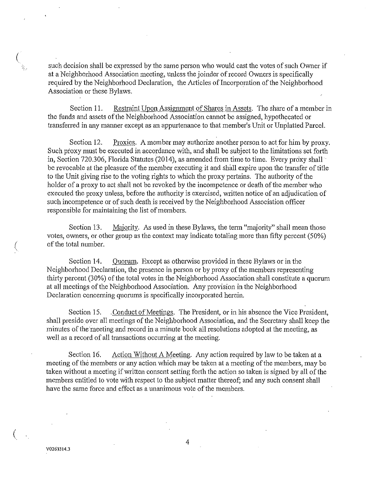such decision shall be expressed by the same person who would cast the votes of such Owner if at a Neighborhood Association meeting, unless the joinder of record Owners is specifically required by the Neighborhood Declaration, the Articles of Incorporation of the Neighborhood Association or these Bylaws.

Section 11. Restraint Upon Assignment of Shares in Assets. The share of a member in the funds and assets of the Neighborhood Association cannot be assigned, hypothecated or transfened in any manner except as an appurtenance to that member's Unit or Unplatted Parcel.

Section 12. Proxies. A member may authorize another person to act for him by proxy. Such proxy must be executed in accordance with, and shall be subject to the limitations set forth in, Section 720.306, Florida Statutes (2014), as amended from time to time. Every proxy shall be revocable at the pleasure of the member executing it and shall expire upon the transfer of title to the Unit giving rise to the voting rights to which the proxy pertains. The authority of the holder of a proxy to act shall not be revoked by the incompetence or death of the member who executed the proxy unless, before the authority is exercised, written notice of an adjudication of such incompetence or of such death is received by the Neighborhood Association officer responsible for maintaining the list of members.

Section 13. Majority. As used in these Bylaws, the term "majority" shall mean those votes, owners, or other group as the context may indicate totaling more than fifty percent (50%) of the total number.

Section 14. Quorum. Except as otherwise provided in these Bylaws or in the Neighborhood Declaration, the presence in person or by proxy of the members representing thirty percent (30%) of the total votes in the Neighborhood Association shall constitute a quorum at all meetings of the Neighborhood Association. Any provision in the Neighborhood Declaration concerning quorums is specifically incorporated herein.

Section 15. Conduct of Meetings. The President, or in his absence the Vice President, shall preside over all meetings of the Neighborhood Association, and the Secretary shall keep the minutes of the meeting and record in a minute book all resolutions adopted at the meeting, as well as a record of all transactions occurring at the meeting.

Section 16. Action Without A Meeting. Any action required by law to be taken at a meeting of the members or any action which may be taken at a meeting of the members, may be taken without a meeting if written consent setting forth the action so taken is signed by all of the members entitled to vote with respect to the subject matter thereof; and any such consent shall have the same force and effect as a unanimous vote of the members.

 $\left($ 

(

Ŕ,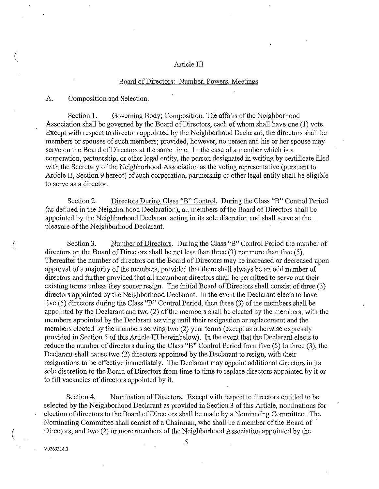#### Article III

### Board of Directors: Number, Powers, Meetings

#### A. Composition and Selection.

 $\left($ 

(

 $\left(\right)$ 

Section 1. Governing Body; Composition. The affairs of the Neighborhood Association shall be governed by the Board of Directors, each of whom shall have one (1) vote. Except with respect to directors appointed by the Neighborhood Declarant, the directors shall be members or spouses of such members; provided, however, no person and his or her spouse may serve on the. Board of Directors at the same time. In the case of a member which is a corporation, partnership, or other legal entity, the person designated in writing by certificate filed with the Secretary of the Neighborhood Association as the voting representative (pursuant to Article II, Section 9 hereof) of such corporation, partnership or other legal entity shall be eligible to serve as a director.

Section 2. Directors During Class "B" Control. During the Class "B" Control Period (as defmed in the Neighborhood Declaration), all members of the Board of Directors shall be appointed by the Neighborhood Declarant acting in its sole discretion and shall serve at the pleasure of the Neighborhood Declarant.

Section 3. Number of Directors. During the Class "B" Control Period the number of directors on the Board of Directors shall be not less than three (3) nor more than five (5). Thereafter the number of directors on the Board of Directors may be increased or decreased upon approval of a majority of the members, provided that there shall always be an odd number of directors and further provided that all incumbent directors shall be permitted to serve out their existing terms unless they sooner resign. The initial Board of Directors shall consist of three (3) directors appointed by the Neighborhood Declarant. In the event the Declarant elects to have five (5) directors during the Class "B" Control Period, then three (3) of the members shall be appointed by the Declarant and two (2) of the members shall be elected by the members, with the members appointed by the Declarant serving until their resignation or replacement and the members elected by the members serving two (2) year terms (except as otherwise expressly provided in Section 5 of this Article III hereinbelow). In the event that the Declarant elects to reduce the number of directors during the Class "B" Control Period from five (5) to three (3), the Declarant shall cause two (2) directors appointed by the Declarant to resign, with their resignations to be effective immediately. The Declarant may appoint additional directors in its sole discretion to the Board of Directors from time to time to replace directors appointed by it or to fill vacancies of directors appointed by it.

Section 4. Nomination of Directors. Except with respect to directors entitled to be selected by the Neighborhood Declarant as provided in Section 3 of this Article, nominations for election of directors to the Board of Directors shall be made by a Nominating Committee. The · Nominating Committee shall consist of a Chairman, who shall be a member of the Board of Directors, and two (2) or more members of the Neighborhood Association appointed by the

V0263314.3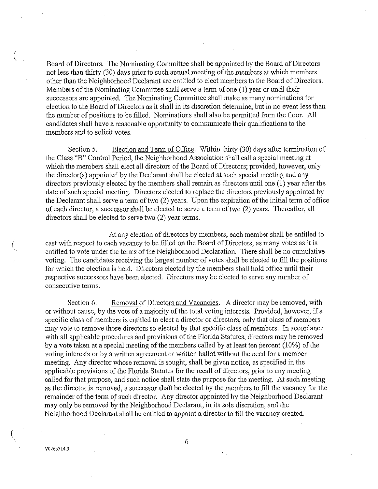Board of Directors. The Nominating Committee shall be appointed by the Board of Directors not less than *thirty* (30) days prior to such annual meeting of the members at which members other than the Neighborhood Declarant are entitled to elect members to the Board of Directors. Members of the Nominating Committee shall serve a term of one (1) year or until their successors are appointed. The Nominating Committee shall make as many nominations for election to the Board of Directors as it shall in its discretion determine, but in no event less than the nuniber of positions to be filled. Nominations shall also be permitted from the floor. All candidates shall have a reasonable opportunity to communicate their qualifications to the members and to solicit votes.

Section 5. Election and Term of Office. Within thirty (30) days after termination of the Class "B" Control Period, the Neighborhood Association shall call a special meeting at which the members shall elect all directors of the Board of Directors; provided, however, only the director(s) appointed by the Declarant shall be elected at such special meeting and any directors previously elected by the members shall remain as directors until one (1) year after the date of such special meeting. Directors elected to replace the directors previously appointed by the Declarant shall serve a term of two (2) years. Upon the expiration of the initial term of office of each director, a successor shall be elected to serve a term of two (2) years. Thereafter, all directors shall be elected to serve two  $(2)$  year terms.

At any election of directors by members, each member shall be entitled to cast with respect to each vacancy to be filled on the Board of Directors, as many votes as it is entitled to vote under the terms of the Neighborhood Declaration. There shall be no cumulative voting. The candidates receiving the largest number of votes shall be elected to fill the positions for which the election is held. Directors elected by the members shall hold office until their respective successors have been elected. Directors may be elected to serve any number of consecutive terms.

Section 6. Removal of Directors and Vacancies. A director may be removed, with or without cause, by the vote of a majority of the total voting interests. Provided, however, if a specific class of members is entitled to elect a director or directors, only that class of members may vote to remove those directors so elected by that specific class of members. In accordance with all applicable procedures and provisions of the Florida Statutes, directors may be removed by a vote taken at a special meeting of the members called by at least ten percent (10%) of the voting interests or by a written agreement or written ballot without the need for a member meeting. Any director whose removal is sought, shall be given notice, as specified in the applicable provisions of the Florida Statutes for the recall of directors, prior to any meeting called for that purpose, and such notice shall state the purpose for the meeting. At such meeting as the director is removed, a successor shall be elected by the members to fill the vacancy for the remainder of the term of such director. Any director appointed by the Neighborhood Declarant may only be removed by the Neighborhood Declarant, in its sole discretion, and the Neighborhood Declarant shall be entitled to appoint a director to fill the vacancy created.

(

(

 $\left(\right)$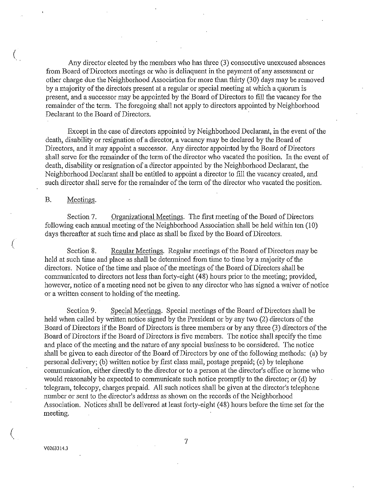Any director elected by the members who has three (3) consecutive unexcused absences from Board of Directors meetings or who is delinquent in the payment of any assessment or other charge due the Neighborhood Association for more than thirty (30) days may be removed by a majority of the directors present at a regular or special meeting at which a quorum is present, and a successor may be appointed by the Board of Directors to fill the vacancy for the remainder of the term. The foregoing shall not apply to directors appointed by Neighborhood Declarant to the Board of Directors.

Except in the case of directors appointed by Neighborhood Declarant, in the event of the death, disability or resignation of a director, a vacancy may be declared by the Board of Directors, and it may appoint a successor. Any director appointed by the Board of Directors shall serve for the remainder of the term of the director who vacated the position. In the event of death, disability or resignation of a director appointed by the Neighborhood Declarant, the Neighborhood Declarant shall be entitled to appoint a director to fill the vacancy created, and such director shall serve for the remainder of the term of the director who vacated the position.

B. Meetings.

(

(

 $\left(\right)$ 

Section 7. Organizational Meetings. The first meeting of the Board of Directors following each annual meeting of the Neighborhood Association shall be held within ten (10) days thereafter at such time and place as shall be fixed by the Board of Directors.

Section 8. Regular Meetings. Regular meetings of the Board of Directors may be held at such time and place as shall be determined from time to time by a majority of the directors. Notice of the time and place of the meetings of the Board of Directors .shall be communicated to directors not less than forty-eight ( 48) hours prior to the meeting; provided, however, notice of a meeting need not be given to any director who has signed a waiver of notice or a written consent to holding of the meeting.

Section 9. Special Meetings. Special meetings of the Board of Directors shall be held when called by written notice signed by the President or by any two (2) directors of the Board of Directors if the Board of Directors is three members or by any three (3) directors of the Board of Directors if the Board of Directors is five members. The notice shall specify the time and place of the meeting and the nature of any special business to be considered. The notice shall be given to each director of the Board of Directors by one of the following methods: (a) by personal delivery; (b) written notice by first class mail, postage prepaid; (c) by telephone communication, either directly to the director or to a person at the director's office or home who would reasonably be expected to communicate such notice promptly to the director; or (d) by telegram, telecopy, charges prepaid. All such notices shall be given at the director's telephone number or sent to the director's address as shown on the records of the Neighborhood Association. Notices shall be delivered at least forty-eight ( 48) hours before the time set for the meeting.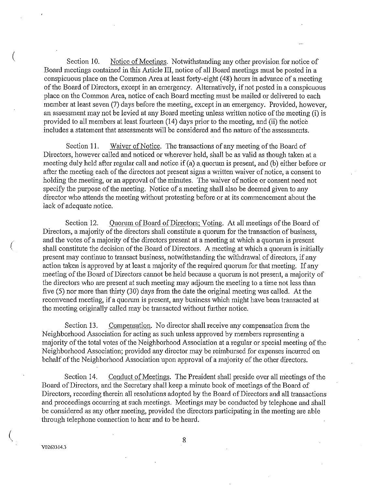Section 10. Notice of Meetings. Notwithstanding any other provision for notice of Board meetings contained in this Article III, notice of all Board meetings must be posted in a conspicuous place on the Common Area at least forty-eight ( 48) hours in advance of a meeting of the Board of Directors, except in an emergency. Alternatively, if not posted in a conspicuous place on the Common Area, notice of each Board meeting must be mailed or delivered to each member at least seven (7) days before the meeting, except in an emergency. Provided, however, an assessment may not be levied at any Board meeting unless written notice of the meeting (i) is provided to all members at least fourteen (14) days prior to the meeting, and (ii) the notice includes a statement that assessments will be considered and the nature of the assessments.

Section 11. Waiver of Notice. The transactions of any meeting of the Board of Directors, however called and noticed or wherever held, shall be as valid as though taken at a meeting duly held after regular call and notice if (a) a quorum is present, and (b) either before or after the meeting each of the directors not present signs a written waiver of notice, a consent to holding the meeting, or an approval of the minutes. The waiver of notice or consent need not specify the purpose of the meeting. Notice of a meeting shall also be deemed given to any director who attends the meeting without protesting before or at its commencement about the lack of adequate notice.

Section 12. Quorum of Board of Directors; Voting. At all meetings of the Board of Directors, a majority of the directors shall constitute a quorum for the transaction of business, and the votes of a majority of the directors present at a meeting at which a quorum is present shall constitute the decision of the Board of Directors. A meeting at which a quorum is initially present may continue to transact business, notwithstanding the withdrawal of directors, if any action taken is approved by at least a majority of the required quorum for that meeting. If any meeting of the Board of Directors cannot be held because a quorum is not present, a majority of the directors who are present at such meeting may adjourn the meeting to a time not less than five (5) nor more than thirty (30) days from the date the original meeting was called. At the reconvened meeting, if a quorum is present, any business which might have been transacted at the meeting originally called may be transacted without further notice.

Section 13. Compensation. No director shall receive any compensation from the Neighborhood Association for acting as such unless approved by members representing a majority of the total votes of the Neighborhood Association at a regular or special meeting of the Neighborhood Association; provided any director may be reimbursed for expenses incurred on behalf of the Neighborhood Association upon approval of a majority of the other directors.

Section14. Conduct of Meetings. The President shall preside over all meetings of the Board of Directors, and the Secretary shall keep a minute book of meetings of the Board of Directors, recording therein all resolutions adopted by the Board of Directors and all transactions and proceedings occurring at such meetings. Meetings may be conducted by telephone and shall be considered as any other meeting, provided the directors participating in the meeting are able through telephone connection to hear and to be heard.

V0263314.3

(

(

 $\left(\right)$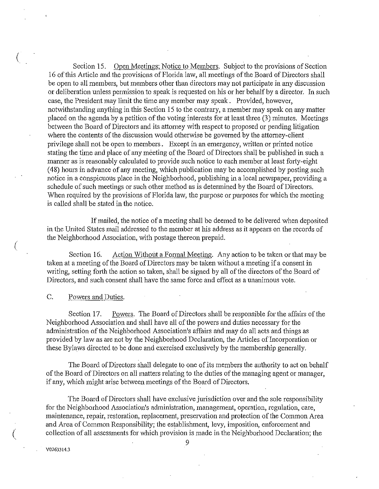Section 15. Open Meetings; Notice to Members. Subject to the provisions of Section 16 ofthis Article and the provisions of Florida law, all meetings of the Board of Directors shall be open to all members, but members other than directors may not participate in any discussion or deliberation unless permission to speak is requested on his or her behalf by a director. In such case, the President may limit the time any member may speak. Provided, however, notwithstanding anything in this Section 15 to the contrary, a member may speak on any matter placed on the agenda by a petition of the voting interests for at least three (3) minutes. Meetings between the Board of Directors and its attorney with respect to proposed or pending litigation where the contents of the discussion would otherwise be governed by the attomey-client privilege shall not be open to members. Except in an emergency, written or printed notice stating the time and place of any meeting of the Board of Directors shall be published in such a manner as is reasonably calculated to provide such notice to each member at least forty-eight ( 48) hours in advance of any meeting, which publication may be accomplished by posting such notice in a conspicuous place in the Neighborhood, publishing in a local newspaper, providing a schedule of such meetings or such other method as is determined by the Board of Directors. When required by the provisions of Florida law, the purpose or purposes for which the meeting is called shall be stated in the notice.

If mailed, the notice of a meeting shall be deemed to be delivered when deposited in the United States mail addressed to the member at his address as it appears on the records of the Neighborhood Association, with postage thereon prepaid.

Section 16. Action Without a Formal Meeting. Any action to be taken or that may be taken at a meeting of the Board of Directors may be taken without a meeting if a consent in writing, setting forth the action so taken, shall be signed by all of the directors of the Board of Directors, and such consent shall have the same force and effect as a unanimous vote.

C. Powers and Duties.

 $\langle$ 

(

 $\binom{r}{r}$ '

Section 17. Powers. The Board of Directors shall be responsible for the affairs of the Neighborhood Association and shall have all of the powers and duties necessary for the administration of the Neighborhood Association's affairs mid may do all acts and things as provided by law as are not by the Neighborhood Declaration, the Articles of Incorporation or these Bylaws directed to be done and exercised exclusively by the membership generally.

The Board of Directors shall delegate to one of its members the authority to act on behalf of the Board of Directors on all matters relating to the duties of the managing agent or manager, if any, which might arise between meetings of the Board of Directors.

The Board of Directors shall have exclusive jurisdiction over and the sole responsibility for the Neighborhood Association's administration, management, operation, regulation, care, maintenance, repair, restoration, replacement, preservation and protection of the Common Area and Area of Common Responsibility; the establishment, levy, imposition, enforcement and collection of all assessments for which provision is made in the Neighborhood Declaration; the

V0263314.3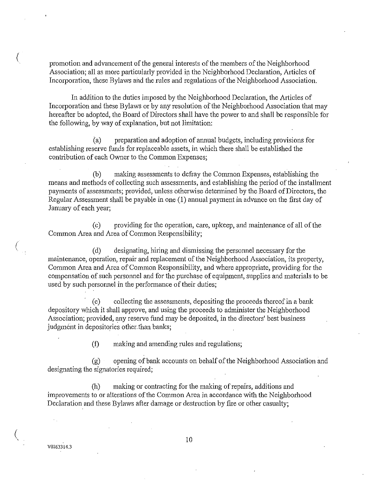promotion and advancement of the general interests of the members of the Neighborhood Association; all as more particularly provided in the Neighborhood Declaration, Articles of Incorporation, these Bylaws and the rules and regulations of the Neighborhood Association.

In addition to the duties imposed by the Neighborhood Declaration, the Articles of Incorporation and these Bylaws or by any resolution of the Neighborhood Association that may hereafter be adopted, the Board of Directors shall have the power to and shall be responsible for the following, by way of explanation, but not limitation:

(a) preparation and adoption of annual budgets, including provisions for establishing reserve funds for replaceable assets, in which there shall be established the contribution of each Owner to the Common Expenses;

(b) making assessments to defray the Common Expenses, establishing the means and methods of collecting such assessments, and establishing the period of the installment payments of assessments; provided, unless otherwise determined by the Board of Directors, the Regular Assessment shall be payable in one (1) annual payment in advance on the first day of January of each year;

(c) providing for the operation, care, upkeep, and maintenance of all of the Common Area and Area of Common Responsibility;

(d) designating, hiring and dismissing the personnel necessary for the maintenance, operation, repair and replacement of the Neighborhood Association, its property, Common Area and Area of Common Responsibility, and where appropriate, providing for the compensation of such personnel and for the purchase of equipment, supplies and materials to be used by such personnel in the performance of their duties;

· (e) collecting the assessments, depositing the proceeds thereof in a bank depository which it shall approve, and using the proceeds to administer the Neighborhood Association; provided, any reserve fund may be deposited, in the directors' best business judgment in depositories other. than banks;

(f) making and amending rules and regulations;

(g) opening of bank accounts on behalf of the Neighborhood Association and designating the signatories required;

(h) making or contracting for the making of repairs, additions and improvements to or alterations of the Common Area in accordance with the Neighborhood Declaration and these Bylaws after damage or destruction by fire or other casualty;

V0263314.3

 $\big($ 

(

 $\left(\right)$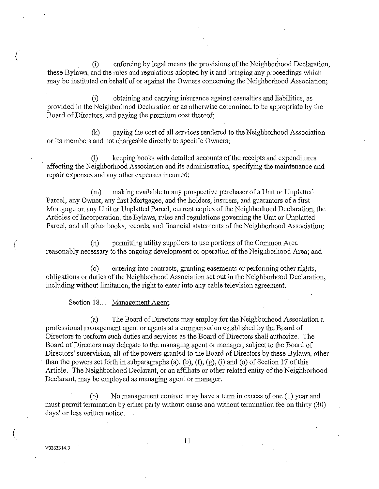(i) enforcing by legal means the provisions of the Neighborhood Declaration, these Bylaws, and the rules and regulations adopted by it and bringing any proceedings which may be instituted on behalf of or against the Owners concerning the Neighborhood Association;

G) obtaining and carrying insurance against casualties and liabilities, as provided in the Neighborhood Declaration or as otherwise determined to be appropriate by the Board of Directors, and paying the premium cost thereof;

(k) paying the cost of all services rendered to the Neighborhood Association or its members and not chargeable directly to specific Owners;

(1) keeping books with detailed accounts of the receipts and expenditures affecting the Neighborhood Association and its administration, specifying the maintenance and repair expenses and any other expenses incurred;

(m) making available to any prospective purchaser of a Unit or Unplatted Parcel, any Owner, any first Mortgagee, and the holders, insurers, and guarantors of a first Mortgage on any Unit or Unplatted Parcel, current copies of the Neighborhood Declaration, the Articles of Incorporation, the Bylaws, rules and regulations governing the Unit or Unplatted Parcel, and all other books, records, and financial statements of the Neighborhood Association;

(n) permitting utility suppliers to use portions of the Common Area reasonably necessary to the ongoing development or operation of the Neighborhood Area; and

( o) entering into contracts, granting easements or perfonning other rights, obligations or duties of the Neighborhood Association set out in the Neighborhood Declaration, including without limitation, the right to enter into any cable television agreement.

Section 18.. Management Agent.

(a) The Board of Directors may employ for the Neighborhood Association a professional management agent or agents at a compensation established by the Board of Directors to perform such duties and services as the Board of Directors shall authorize." The Board of Directors may delegate to the managing agent or manager, subject to the Board of Directors' supervision, all of the powers granted to the Board of Directors by these Bylaws, other than the powers set forth in subparagraphs (a), (b), (f), (g), (i) and (o) of Section 17 of this Article. The Neighborhood Declarant, or an affiliate or other related entity of the Neighborhood Declarant, may be employed as managing agent or manager.

(b) No management contract may have a term in excess of one (1) year and must permit termination by either party without cause and without termination fee on thirty (30) days' or less written notice.

 $\big($ 

 $\big($ 

(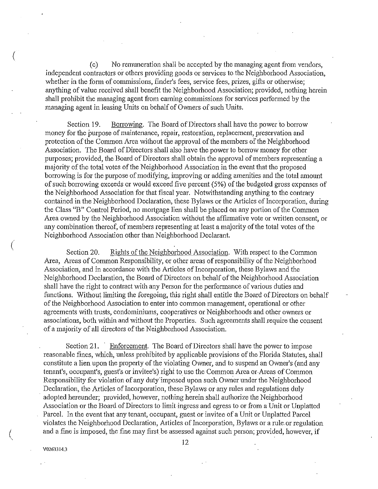(c) No remuneration shall be accepted by the managing agent from vendors, independent contractors or others providing goods or services to the Neighborhood Association, whether in the form of commissions, finder's fees, service fees, prizes, gifts or otherwise; anything of value received shall benefit the Neighborhood Association; provided, nothing herein shall prohibit the managing agent from eaming commissions for services performed by the managing agent in leasing Units on behalf of Owners of such Units.

Section 19. Borrowing. The Board of Directors shall have the power to borrow money for the purpose of maintenance, repair, restoration, replacement, preservation and protection of the Common Area without the approval of the members of the Neighborhood Association. The Board of Directors shall also have the power to borrow money for other purposes; provided, the Board of Directors shall obtain the approval of members representing a majority of the total votes of the Neighborhood Association in the event that the proposed borrowing is for the purpose of modifying, improving or adding amenities and the total amount of such borrowing exceeds or would exceed five percent  $(5%)$  of the budgeted gross expenses of the Neighborhood Association for that fiscal year. Notwithstanding anything to the contrary contained in the Neighborhood Declaration, these Bylaws or the Articles of Incorporation, during the Class "B" Control Period, no mortgage lien shall be placed on any portion of the Common Area owned by the Neighborhood Association without the affirmative vote or written consent, or any combination thereof, of members representing at least a majority of the total votes of the Neighborhood Association other than Neighborhood Declarant.

Section 20. Rights of the Neighborhood Association. With respect to the Common Area, Areas of Common Responsibility, or other areas of responsibility of the Neighborhood Association, and in accordance with the Articles of Incorporation, these Bylaws and the Neighborhood Declaration, the Board of Directors on behalf of the Neighborhood Association shall have the right to contract with any Person for the performance of various duties and functions. Without limiting the foregoing, this right shall entitle the Board of Directors on behalf of the Neighborhood Association to enter into common management, operational or other agreements with trusts, condominiums, cooperatives or Neighborhoods and other owners or associations, both within and without the Properties. Such agreements shall require the consent of a majority of all directors of the Neighborhood Association.

Section 21. Enforcement. The Board of Directors shall have the power to impose reasonable fines, which, unless prohibited by applicable provisions of the Florida Statutes, shall constitute a lien upon the property of the violating Owner, and to suspend an Owner's (and any tenant's, occupant's, guest's or invitee's) right to use the Common Area or.Areas of Common Responsibility for violation of any duty imposed upon such Owner under the Neighborhood Declaration, the Articles of Incorporation, these Bylaws or any rules and regulations duly adopted hereunder; provided, however, nothing herein shall authorize the Neighborhood Association or the Board of Directors to limit ingress and egress to or from a Unit or Unplatted Parcel. In the event that any tenant, occupant, guest or invitee of a Unit or Unplatted Parcel violates the Neighborhood Declaration, Articles of Incorporation, Bylaws or a rule or regulation and a fme is imposed, the fine may first be assessed against such person; provided, however, if

V0263314.3

(

 $\big($ 

(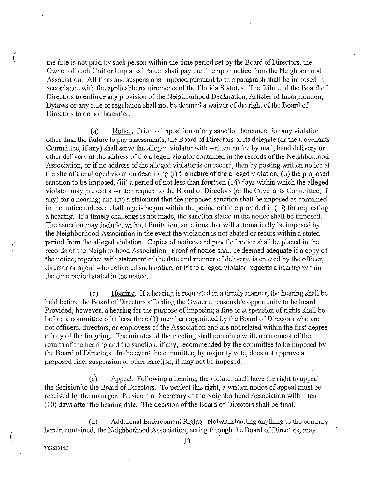the fine is not paid by such person within the time period set by the Board of Directors, the Owner of such Unit or Unplatted Parcel shall pay the fine upon notice from the Neighborhood Association. All fines and suspensions imposed pursuant to this paragraph shall be imposed in accordance with the applicable requirements of the Florida Statutes. The failure of the Board of Directors to enforce any provision of the Neighborhood Declaration, Articles of Incorporation, Bylaws or any rule or regulation shall not be deemed a waiver of the right of the Board of Directors to do so thereafter.

(a) Notice. Prior to imposition of any sanction hereunder for any violation other than the failure to pay assessments, the Board of Directors or its delegate (or the Covenants Committee, if any) shall serve the alleged violator with written notice by mail, hand delivery or other delivery at the address of the alleged violator contained in the records of the Neighborhood Association, or if no address of the alleged violator is on record, then by posting written notice at the site of the alleged violation describing (i) the natrue of the alleged violation, (ii) the proposed sanction to be imposed, (iii) a period of not less than fourteen (14) days within which the alleged violator may present a written request to the Board of Directors (or the Covenants Committee, if any) for a hearing; and (iv) a statement that the proposed sanction shall be imposed as contained in the notice uuless a challenge is begun within the period of time provided in (iii) for requesting a hearing. If a timely challenge is not made, the sanction stated in the notice shall be imposed. The sanction may include, without limitation, sanctions that will automatically be imposed by the Neighborhood Association in the event the violation is not abated or recurs within a stated period from the alleged violation. Copies of notices and proof of notice shall be placed in the records of the Neighborhood Association. Proof of notice shall be deemed adequate if a copy of the notice, together with statement of the date and manner of delivery, is entered by the officer, director or agent who delivered such notice, or if the alleged violator requests a hearing within the time period stated in the notice.

(b) Heating. If a hearing is requested in a timely manner, the hearing shall be held before the Board of Directors affording the Owner a reasonable opportunity to be heard. Provided, however, a hearing for the purpose of imposing a fine or suspension of rights shall be before a committee of at least three (3) members appointed by the Board of Directors who are not officers, directors, or employees of the Association and are not related within the first degree of any of the forgoing. The minutes of the meeting shall contain a written statement of the results of the hearing and the sanction, if any, recommended by the committee to be imposed by the Board of Directors. In the event the committee, by majority vote, does not approve a proposed fine, suspension or other sanction, it may not be imposed.

(c) Appeal. Following a hearing, the violator shall have the right to appeal the decision to the Board of Directors. To perfect this right, a written notice of appeal must be received by the manager, President or Secretary of the Neighborhood Association within ten (10) days after the hearing date. The decision of the Board of Directors shall be final.

(d) Additional Enforcement Rights. Notwithstanding anything to the contrary . herein contained, the Neighborhood Association, acting through the Board of Directors, may

V0263314.3

(

(

 $\left(\right)$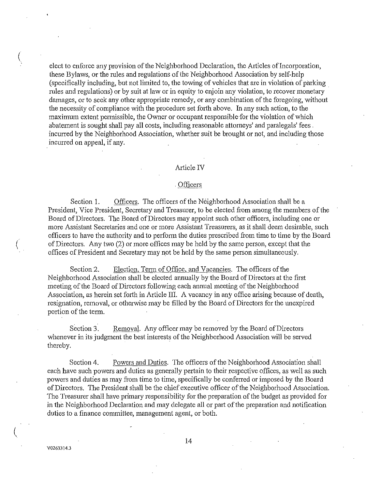elect to enforce any provision of the Neighborhood Declaration, the Articles of Incorporation, these Bylaws, or the mles and regulations of the Neighborhood Association by self-help (specifically including, but not limited to, the towing of vehicles that are in violation of parking mles and regulations) or by suit at law or in equity to enjoin any violation, to recover monetary damages, or to seek any other appropriate remedy, or any combination of the foregoing, without the necessity of compliance with the procedure set forth above. In any such action, to the maximum extent pennissible, the Owner or occupant responsible-for the violation of which abatement is sought shall pay all costs, including reasonable attorneys' and paralegals' fees . incurred by the Neighborhood Association, whether suit be brought or not, and including those incurred on appeal, if any.

### Article IV

### . Officers

Section 1. Officers. The officers of the Neighborhood Association shall be a President, Vice President, Secretary and Treasurer, to be elected from among the members of the Board of Directors. The Board of Directors may appoint such other officers, including one or more Assistant Secretaries and one or more Assistant Treasurers, as it shall deem desirable, such officers to have the authority and to perform the duties prescribed from tinre to time by the Board of Directors. Any two (2) or more offices may be held by the same person, except that the offices of President and Secretary may not be held by the same person sinrultaneously.

Section 2. Election, Term of Office, and Vacancies. The officers of the Neighborhood Association shall be elected annually by the Board of Directors at the first meeting of the Board of Directors following each annual meeting of the Neighborhood Association, as herein set forth in Article III. A vacancy in any office arising because of death, resignation, removal, or otherwise may be filled by the Board of Directors for the unexpired portion of the term.

Section 3. Removal. Any officer may be removed by the Board of Directors whenever in its judgment the best interests of the Neighborhood Association will be served thereby.

Section 4. Powers and Duties. The officers of the Neighborhood Association shall each have such powers and duties as generally pertain to their respective offices, as well as such powers and duties as may from time to time, specifically be conferred or imposed by the Board of Directors. The President shall be the chief executive officer of the Neighborhood Association. The Treasurer shall have primary responsibility for the preparation of the budget as provided for in the Neighborhood Declaration and may delegate all or part of the preparation and notification duties to a finance committee, management agent, or both.

 $\left(\right)$ 

*(* 

 $\left(\right)$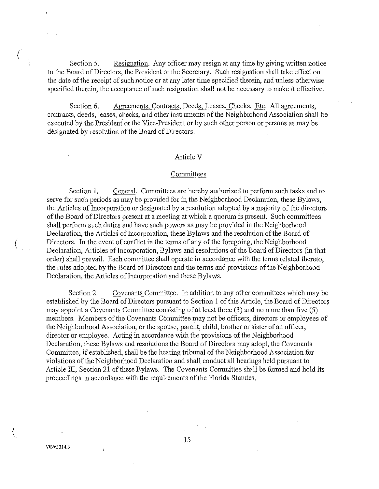Section 5. Resignation. Any officer may resign at any time by giving written notice to the Board of Directors, the President or the Secretary. Such resignation shall take effect on the date of the receipt of such notice or at any later time specified therein, and unless otherwise specified therein, the acceptance of such resignation shall not be necessary to make it effective.

Section 6. Agreements, Contracts, Deeds, Leases, Checks, Etc. All agreements, contracts, deeds, leases, checks, and other instruments of the Neighborhood Association shall be executed by the President or the Vice-President or by such other person or persons as may be designated by resolution of the Board of Directors.

### Article V

#### Committees

Section 1. General. Committees are hereby authorized to perform such tasks and to serve for such periods as may be provided for in the Neighborhood Declaration, these Bylaws, the Articles of Incorporation or designated by a resolution adopted by a majority of the directors of the Board of Directors present at a meeting at which a quorum is present. Such committees shall perform such duties and have such powers as may be provided in the Neighborhood Declaration, the Articles of Incorporation, these Bylaws and the resolution of the Board of Directors. In the event of conflict in the tenns of any of the foregoing, the Neighborhood Declaration, Articles of Incorporation, Bylaws and resolutions of the Board of Directors (in that order) shall prevail. Each committee shall operate in accordance with the terms related thereto, the rules adopted by the Board of Directors and the terms and provisions of the Neighborhood Declaration, the Articles of Incorporation and these Bylaws.

Section 2. Covenants Committee. In addition to any other committees which may be established by the Board of Directors pursuant to Section 1 of this Article, the Board of Directors may appoint a Covenants Committee consisting of at least three (3) and no more than five (5) members. Members of the Covenants Committee may not be officers, directors or employees of the Neighborhood Association, or the spouse, parent, child, brother or sister of an officer, director or employee. Acting in accordance with the provisions of the Neighborhood Declaration, these Bylaws and resolutions the Board of Directors may adopt, the Covenants Committee, if established, shall be the hearing tribunal of the Neighborhood Association for violations of the Neighborhood Declaration and shall conduct all hearings held pursuant to Article III, Section 21 of these Bylaws. The Covenants Committee shall be formed and hold its proceedings in accordance with the requirements of the Florida Statutes.

V02633!4.3

 $\epsilon$ 

(

 $\big($ 

(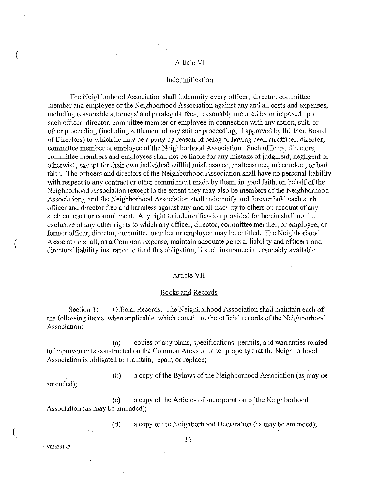#### Article VI

### Indemnification

The Neighborhood Association shall indemnify every officer, director, committee member and employee of the Neighborhood Association against any and all costs and expenses, including reasonable attorneys' and paralegals' fees, reasonably incurred by or imposed upon such officer, director, committee member or employee in connection with any action, suit, or other proceeding (including settlement of any suit or proceeding, if approved by the then Board of Directors) to which he may be a party by reason of being or having been an officer, director, committee member or employee of the Neighborhood Association. Such officers, directors, committee members and employees shall not be liable for any mistake of judgment, negligent or otherwise, except for their own individual willful misfeasance, malfeasance, m1scoriduct, or bad faith. The officers and directors of the Neighborhood Association shall have no personal liability with respect to any contract or other commitment made by them, in good faith, on behalf of the Neighborhood Association (except to the extent they may also be members of the Neighborhood Association), and the Neighborhood Association shall indemnify and forever hold each such officer and director free and harmless against any and all liability to others on account of any such contract or commitment. Any right to indemnification provided for herein shall not be exclusive of any other rights to which any officer, director, committee member, or employee, or former officer, director, committee member or employee may be entitled. The Neighborhood Association shall, as a Common Expense, maintain adequate general liability and officers' and directors' liability insurance to fund this obligation, if such insurance is reasonably available.

#### Article VII

#### Books and Records

Section 1: Official Records. The Neighborhood Association shall maintain each of the following items, when applicable, which constitute the official records of the Neighborhood Association:

(a) copies of any plans, specifications, permits, and warranties related to improvements constructed on the Common Areas or other property that the Neighborhood Association is obligated to maintain, repair, or replace;

(b) a copy of the Bylaws of the Neighborhood Association (as may be amended);

(c) a copy of the Articles of Incorporation of the Neighborhood Association (as may be amended);

(d) a copy of the Neighborhood Declaration (as may be-amended);

 $16$   $\sqrt{0263314.3}$ 

 $\big(\big)$ 

 $\big($ 

 $\left(\right)$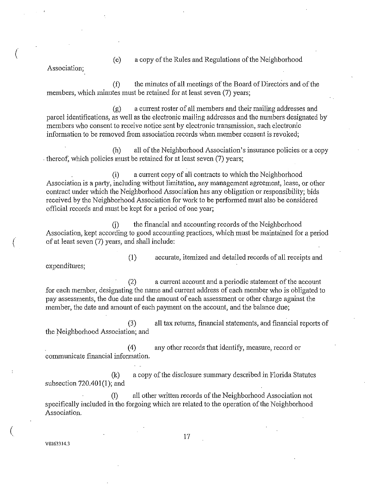(e) a copy of the Rules and Regulations of the Neighborhood

Association;

 $(f)$  the minutes of all meetings of the Board of Directors and of the members, which minutes must be retained for at least seven (7) years;

(g) a current roster of all members and their mailing addresses and parcel identifications, as well as the electronic mailing addresses and the numbers designated by members who consent to receive notice sent by electronic transmission, such electronic information to be removed from association records when member consent is revoked;

(h) all of the Neighborhood Association's insurance policies or a copy . thereof, which policies must be retained for at least seven (7) years;

(i) a current copy of all contracts to which the Neighborhood Association is a party, including without limitation, any management agreement, lease, or other contract under which the Neighborhood Association has any obligation or responsibility; bids received by the Neighborhood Association for work to be performed must also be considered official records and must be kept for a period of one year;

(i) the financial and accounting records of the Neighborhood Association, kept according to good accounting practices, which must be maintained for a period ( of at least seven (7) years, and shall include:

expenditures;

(1) accurate, itemized and detailed records of all receipts and

(2) a current account and a periodic statement of the account for each member, designating the name and current address of each member who is obligated to pay assessments, the due date and the amount of each assessment or other charge against the member, the date and amount of each payment on the account, and the balance due;

(3) all tax returns, financial statements, and fmancial reports of the Neighborhood Association; and

( 4) any other records that identify, measure, record or communicate financial information.

(k) a copy of the disclosure surmnary described in Florida Statutes subsection 720.401(1); and

(!) all other written records of the Neighborhood Association not specifically included in the forgoing which are related to the operation of the Neighborhood Association.

 $\big($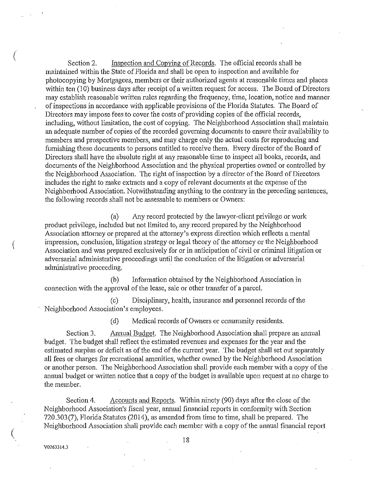Section 2. Inspection and Copying of Records. The official records shall be maintained within the State of Florida and shall be open to inspection and available for photocopying by Mortgagees, members or their authorized agents at reasonable times and places within ten (10) business days after receipt of a written request for access. The Board of Directors may establish reasonable written rules regarding the frequency, time, location, notice and manner of inspections in accordance with applicable provisions of the Florida Statutes. The Board of Directors may impose fees to cover the costs of providing copies of the official records, including, without limitation, the cost of copying. The Neighborhood Association shall maintain an adequate number of copies of the recorded governing documents to ensure their availability to members and prospective members, and may charge only the actual costs for reproducing and furnishing these documents to persons entitled to receive them. Every director of the Board of Directors shall have the absolute right at any reasonable time to inspect all books, records, and documents of the Neighborhood Association and the physical properties owned or controlled by the Neighborhood Association. The right of inspection by a director of the Board of Directors includes the right to make extracts and a copy of relevant documents at the expense of the Neighborhood Association. Notwithstanding anything to the contrary in the preceding sentences, the following records shall not be assessable to members or Owners:

(a) Any record protected by the lawyer-client privilege or work product privilege, included but not limited to, any record prepared by the Neighborhood Association attomey or prepared at the attorney's express direction which reflects a mental impression, conclusion, litigation strategy or legal theory of the attorney or the Neighborhood Association and was prepared exclusively for or in anticipation of civil or criminal litigation or adversarial administrative proceedings until the conclusion of the litigation or adversarial administrative proceeding.

(b) Information obtained by the Neighborhood Association in connection with the approval of the lease, sale or other transfer of a parcel.

(c) Disciplinary, health, insurance and personnel records of the Neighborhood Association's employees.

(d) Medical records of Owners or community residents.

Section 3. Annual Budget. The Neighborhood Association shall prepare an annual budget. The budget shall reflect the estimated revenues and expenses for the year and the estimated surplus or deficit as of the end of the cunent year. The budget shall set out separately all fees or charges for recreational amenities, whether owned by the Neighborhood Association or another person. The Neighborhood Association shall provide each member with a copy of the annual budget or written notice that a copy of the budget is available upon request at no charge to the member.

Section 4. Accounts and Reports. Within ninety (90) days after the close of the Neighborhood Association's fiscal year, annual financial reports in conformity with Section 720.303(7), Florida Statutes (2014), as amended from time to time, shall be prepared. The Neighborhood Association shall provide each member with a copy of the mmual financial report

V0263314.3

 $\binom{1}{2}$ 

(

(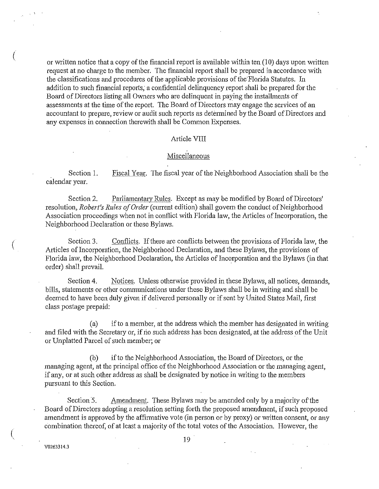or written notice that a copy of the financial report is available within ten (10) days upon written request at no charge to the member. The financial report shall be prepared in accordance with the classifications and procedures of the applicable provisions of the Florida Statutes. In addition to such financial reports, a confidential delinquency report shall be prepared for the Board of Directors listing all Owners who are delinquent in paying the installments of assessments at the time of the report. The Board of Directors may engage the services of an accountant to prepare, review or audit such reports as determined by the Board of Directors and any expenses in connection therewith shall be Common Expenses.

#### Article VIII

### Miscellaneous

Section 1. calendar year. Fiscal Year. The fiscal year of the Neighborhood Association shall be the

Section 2. Parliamentary Rules. Except as may be modified by Board of Directors' resolution, *Robert's Rules of Order* (current edition) shall govern the conduct of Neighborhood Association proceedings when not in conflict with Florida law, the Articles of Incorporation, the Neighborhood Declaration or these Bylaws.

Section 3. Conflicts. If there are conflicts between the provisions of Florida law, the Articles of Incorporation, the Neighborhood Declaration, and these Bylaws, the provisions of Florida law, the Neighborhood Declaration, the Articles of Incorporation and the Bylaws (in that order) shall prevail.

Section 4. Notices. Unless otherwise provided in these Bylaws, all notices, demands, bills, statements or other communications under these Bylaws shall be in writing and shall be deemed to have been duly given if delivered personally or if sent by United States Mail, first class postage prepaid:

(a) if to a member, at the address which the member has designated in writing and filed with the Secretary or, if rio such address has been designated, at the address of the Unit or Unplatted Parcel of such member; or

(b) if to the Neighborhood Association, the Board of Directors, or the. managing agent, at the principal office of the Neighborhood Association or the managing agent, if any, or at such other address as shall be designated by notice in writing to the members pursuant to this Section.

Section 5. Amendment. These Bylaws may be amended only by a majority of the Board of Directors adopting a resolution setting forth the proposed amendment, if such proposed amendment is approved by the affirmative vote (in person or by proxy) or written consent, or any combination thereof, of at least a majority of the total votes of the Association. However, the

V0263314.3

 $\left(\right)$ 

(

 $\left(\right)$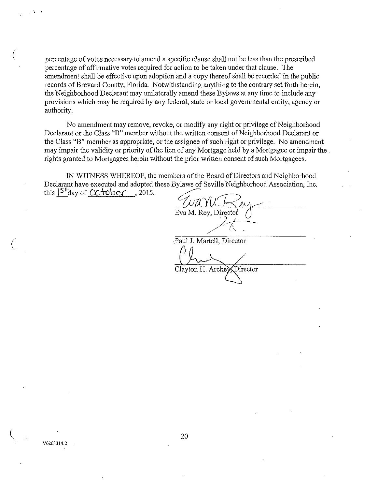( percentage of votes necessary to amend a specific clause shall not be less than the prescribed percentage of affirmative votes required for action to be taken under that clause. The amendment shall be effective upon adoption and a copy thereof shall be recorded in the public records of Brevard County, Florida. Notwithstanding anything to the contrary set forth herein, the Neighborhood Declarant may unilaterally amend these Bylaws at any time to include any provisions which may be required by any federal, state or local governmental entity, agency or authority.

No amendment may remove, revoke, or modify any right or privilege of Neighborhood Declarant or the Class "B" member without the written consent of Neighborhood Declarant or the Class "B" member as appropriate, or the assignee of such right or privilege. No amendment may impair the validity or priority of the lien of any Mortgage held by a Mortgagee or impair the . rights granted to Mortgagees herein without the prior written consent of such Mortgagees.

IN WITNESS WHEREOF, the members of the Board of Directors and Neighborhood Declarant have executed and adopted these Bylaws of Seville Neighborhood Association, Inc. this  $5^{+}$ day of  $\alpha$  tober, 2015.

Eva M. Rey, Director<sup>1</sup>  $\overline{\Lambda}$  $\triangle$ / ,Paul J. Martell, Director Director Clayton H. Arche<sup>3</sup>

 $\mathbf{r} = \mathbf{r}$ 

(

(